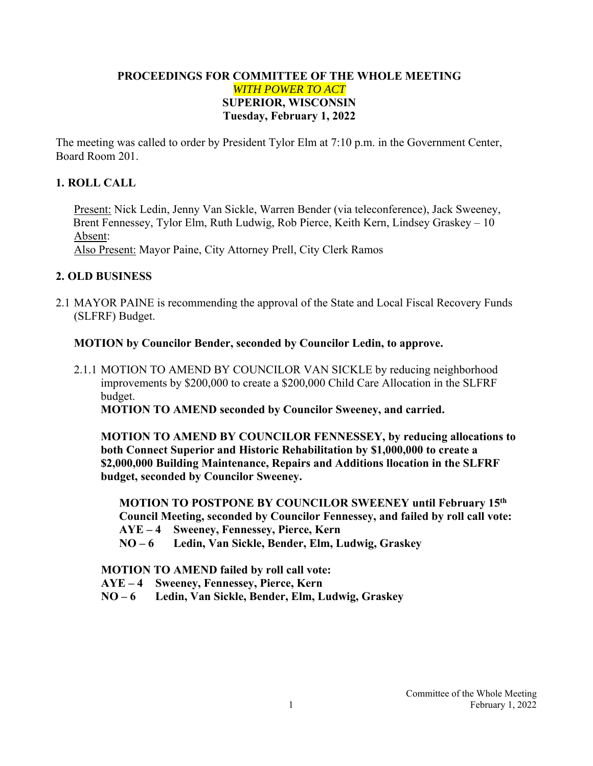## **PROCEEDINGS FOR COMMITTEE OF THE WHOLE MEETING**  *WITH POWER TO ACT*  **SUPERIOR, WISCONSIN Tuesday, February 1, 2022**

The meeting was called to order by President Tylor Elm at 7:10 p.m. in the Government Center, Board Room 201.

## **1. ROLL CALL**

Present: Nick Ledin, Jenny Van Sickle, Warren Bender (via teleconference), Jack Sweeney, Brent Fennessey, Tylor Elm, Ruth Ludwig, Rob Pierce, Keith Kern, Lindsey Graskey – 10 Absent:

Also Present: Mayor Paine, City Attorney Prell, City Clerk Ramos

# **2. OLD BUSINESS**

2.1 MAYOR PAINE is recommending the approval of the State and Local Fiscal Recovery Funds (SLFRF) Budget.

### **MOTION by Councilor Bender, seconded by Councilor Ledin, to approve.**

2.1.1 MOTION TO AMEND BY COUNCILOR VAN SICKLE by reducing neighborhood improvements by \$200,000 to create a \$200,000 Child Care Allocation in the SLFRF budget.

**MOTION TO AMEND seconded by Councilor Sweeney, and carried.** 

**MOTION TO AMEND BY COUNCILOR FENNESSEY, by reducing allocations to both Connect Superior and Historic Rehabilitation by \$1,000,000 to create a \$2,000,000 Building Maintenance, Repairs and Additions llocation in the SLFRF budget, seconded by Councilor Sweeney.** 

**MOTION TO POSTPONE BY COUNCILOR SWEENEY until February 15th Council Meeting, seconded by Councilor Fennessey, and failed by roll call vote: AYE – 4 Sweeney, Fennessey, Pierce, Kern** 

**NO – 6 Ledin, Van Sickle, Bender, Elm, Ludwig, Graskey** 

 **MOTION TO AMEND failed by roll call vote:** 

- **AYE 4 Sweeney, Fennessey, Pierce, Kern**
- **NO 6 Ledin, Van Sickle, Bender, Elm, Ludwig, Graskey**